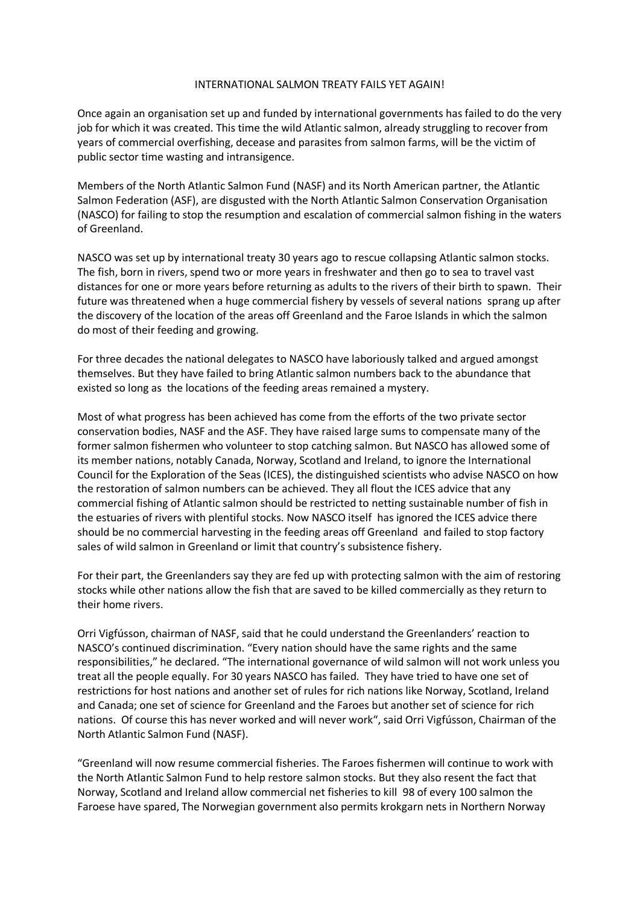## INTERNATIONAL SALMON TREATY FAILS YET AGAIN!

Once again an organisation set up and funded by international governments has failed to do the very job for which it was created. This time the wild Atlantic salmon, already struggling to recover from years of commercial overfishing, decease and parasites from salmon farms, will be the victim of public sector time wasting and intransigence.

Members of the North Atlantic Salmon Fund (NASF) and its North American partner, the Atlantic Salmon Federation (ASF), are disgusted with the North Atlantic Salmon Conservation Organisation (NASCO) for failing to stop the resumption and escalation of commercial salmon fishing in the waters of Greenland.

NASCO was set up by international treaty 30 years ago to rescue collapsing Atlantic salmon stocks. The fish, born in rivers, spend two or more years in freshwater and then go to sea to travel vast distances for one or more years before returning as adults to the rivers of their birth to spawn. Their future was threatened when a huge commercial fishery by vessels of several nations sprang up after the discovery of the location of the areas off Greenland and the Faroe Islands in which the salmon do most of their feeding and growing.

For three decades the national delegates to NASCO have laboriously talked and argued amongst themselves. But they have failed to bring Atlantic salmon numbers back to the abundance that existed so long as the locations of the feeding areas remained a mystery.

Most of what progress has been achieved has come from the efforts of the two private sector conservation bodies, NASF and the ASF. They have raised large sums to compensate many of the former salmon fishermen who volunteer to stop catching salmon. But NASCO has allowed some of its member nations, notably Canada, Norway, Scotland and Ireland, to ignore the International Council for the Exploration of the Seas (ICES), the distinguished scientists who advise NASCO on how the restoration of salmon numbers can be achieved. They all flout the ICES advice that any commercial fishing of Atlantic salmon should be restricted to netting sustainable number of fish in the estuaries of rivers with plentiful stocks. Now NASCO itself has ignored the ICES advice there should be no commercial harvesting in the feeding areas off Greenland and failed to stop factory sales of wild salmon in Greenland or limit that country's subsistence fishery.

For their part, the Greenlanders say they are fed up with protecting salmon with the aim of restoring stocks while other nations allow the fish that are saved to be killed commercially as they return to their home rivers.

Orri Vigfússon, chairman of NASF, said that he could understand the Greenlanders' reaction to NASCO's continued discrimination. "Every nation should have the same rights and the same responsibilities," he declared. "The international governance of wild salmon will not work unless you treat all the people equally. For 30 years NASCO has failed. They have tried to have one set of restrictions for host nations and another set of rules for rich nations like Norway, Scotland, Ireland and Canada; one set of science for Greenland and the Faroes but another set of science for rich nations. Of course this has never worked and will never work", said Orri Vigfússon, Chairman of the North Atlantic Salmon Fund (NASF).

"Greenland will now resume commercial fisheries. The Faroes fishermen will continue to work with the North Atlantic Salmon Fund to help restore salmon stocks. But they also resent the fact that Norway, Scotland and Ireland allow commercial net fisheries to kill 98 of every 100 salmon the Faroese have spared, The Norwegian government also permits krokgarn nets in Northern Norway